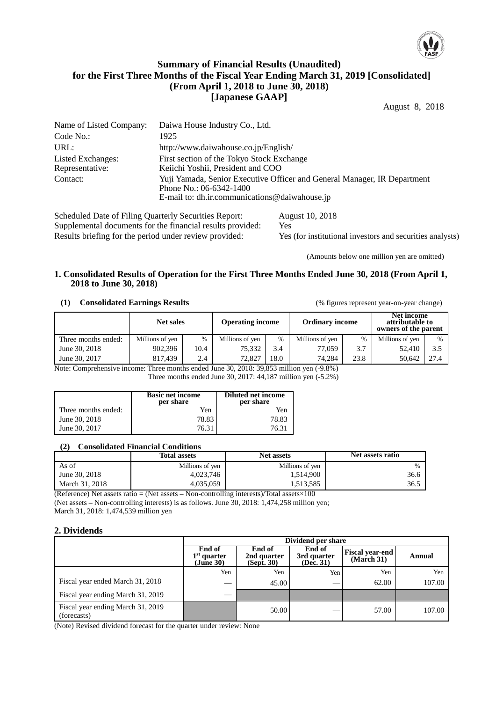

## **Summary of Financial Results (Unaudited) for the First Three Months of the Fiscal Year Ending March 31, 2019 [Consolidated] (From April 1, 2018 to June 30, 2018) [Japanese GAAP]**

August 8, 2018

| Name of Listed Company:                               | Daiwa House Industry Co., Ltd.                                                                                                                       |  |  |  |  |
|-------------------------------------------------------|------------------------------------------------------------------------------------------------------------------------------------------------------|--|--|--|--|
| Code No.:                                             | 1925                                                                                                                                                 |  |  |  |  |
| URL:                                                  | http://www.daiwahouse.co.jp/English/                                                                                                                 |  |  |  |  |
| Listed Exchanges:<br>Representative:                  | First section of the Tokyo Stock Exchange<br>Keiichi Yoshii, President and COO                                                                       |  |  |  |  |
| Contact:                                              | Yuji Yamada, Senior Executive Officer and General Manager, IR Department<br>Phone No.: 06-6342-1400<br>E-mail to: dh.ir.communications@daiwahouse.jp |  |  |  |  |
| Scheduled Date of Filing Quarterly Securities Report: | August 10, 2018                                                                                                                                      |  |  |  |  |

Supplemental documents for the financial results provided: Yes Results briefing for the period under review provided: Yes (for institutional investors and securities analysts)

(Amounts below one million yen are omitted)

#### **1. Consolidated Results of Operation for the First Three Months Ended June 30, 2018 (From April 1, 2018 to June 30, 2018)**

#### **(1) Consolidated Earnings Results** (% figures represent year-on-year change)

|                 | <b>Operating income</b> |                  | <b>Ordinary income</b> |                              | Net income<br>attributable to<br>owners of the parent |                 |      |
|-----------------|-------------------------|------------------|------------------------|------------------------------|-------------------------------------------------------|-----------------|------|
| Millions of yen | %                       | Millions of yen  | $\frac{0}{0}$          | Millions of ven              |                                                       | Millions of ven | $\%$ |
| 902.396         | 10.4                    | 75.332           | 3.4                    | 77,059                       | 3.7                                                   | 52.410          | 3.5  |
| 817.439         | 2.4                     | 72.827           | 18.0                   | 74.284                       | 23.8                                                  | 50.642          | 27.4 |
|                 | <b>CONTRACTOR</b>       | <b>Net sales</b> |                        | 0.0000000000<br>$\mathbf{r}$ | <br>(0, 0, 0, 0)                                      |                 |      |

Note: Comprehensive income: Three months ended June 30, 2018: 39,853 million yen (-9.8%) Three months ended June 30, 2017: 44,187 million yen (-5.2%)

|                     | <b>Basic net income</b><br>per share | <b>Diluted net income</b><br>per share |
|---------------------|--------------------------------------|----------------------------------------|
| Three months ended: | Yen                                  | Yen                                    |
| June 30, 2018       | 78.83                                | 78.83                                  |
| June 30, 2017       | 76.31                                | 76.31                                  |

#### **(2) Consolidated Financial Conditions**

|                | <b>Total assets</b> | <b>Net assets</b> | Net assets ratio |
|----------------|---------------------|-------------------|------------------|
| As of          | Millions of yen     | Millions of yen   | $\%$             |
| June 30, 2018  | 4.023.746           | 1,514,900         | 36.6             |
| March 31, 2018 | 4.035.059           | 1,513,585         | 36.5             |

(Reference) Net assets ratio = (Net assets – Non-controlling interests)/Total assets $\times$ 100 (Net assets – Non-controlling interests) is as follows. June 30, 2018: 1,474,258 million yen;

March 31, 2018: 1,474,539 million yen

### **2. Dividends**

|                                                  | Dividend per share                   |                                               |                                    |                                      |        |  |  |
|--------------------------------------------------|--------------------------------------|-----------------------------------------------|------------------------------------|--------------------------------------|--------|--|--|
|                                                  | End of<br>$1st$ quarter<br>(June 30) | End of<br>2nd quarter<br>$(Sep\tilde{t}, 30)$ | End of<br>3rd quarter<br>(Dec. 31) | <b>Fiscal year-end</b><br>(March 31) | Annual |  |  |
|                                                  | Yen                                  | Yen                                           | Yen                                | Yen                                  | Yen    |  |  |
| Fiscal year ended March 31, 2018                 | $\sim$                               | 45.00                                         |                                    | 62.00                                | 107.00 |  |  |
| Fiscal year ending March 31, 2019                |                                      |                                               |                                    |                                      |        |  |  |
| Fiscal year ending March 31, 2019<br>(forecasts) |                                      | 50.00                                         |                                    | 57.00                                | 107.00 |  |  |

(Note) Revised dividend forecast for the quarter under review: None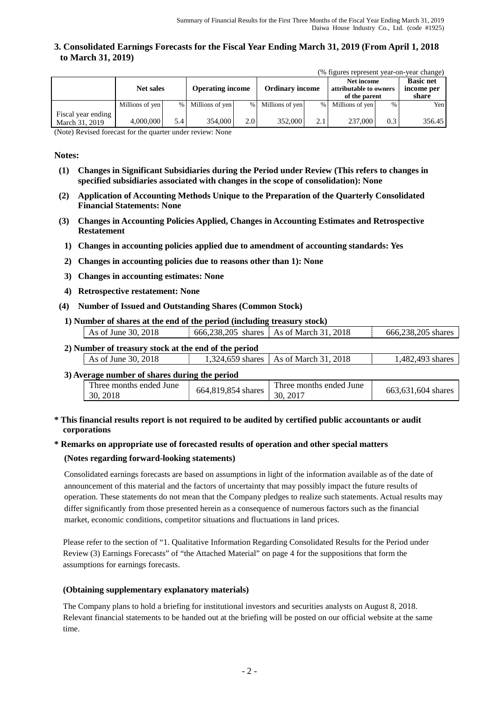### **3. Consolidated Earnings Forecasts for the Fiscal Year Ending March 31, 2019 (From April 1, 2018 to March 31, 2019)**

|  |  |  | (% figures represent year-on-year change) |  |
|--|--|--|-------------------------------------------|--|
|--|--|--|-------------------------------------------|--|

|                                      | <b>Net sales</b> |     | <b>Operating income</b> |                  | <b>Ordinary income</b> |      | Net income<br>attributable to owners<br>of the parent |               | <b>Basic net</b><br>income per<br>share |
|--------------------------------------|------------------|-----|-------------------------|------------------|------------------------|------|-------------------------------------------------------|---------------|-----------------------------------------|
|                                      | Millions of yen  |     | % Millions of yen       | $\%$             | Millions of yen        | $\%$ | Millions of yen                                       | $\frac{0}{0}$ | Yen <sub>1</sub>                        |
| Fiscal year ending<br>March 31, 2019 | 4,000,000        | 5.4 | 354,000                 | 2.0 <sub>1</sub> | 352,000                | 2.1  | 237,000                                               | 0.3           | 356.45                                  |

(Note) Revised forecast for the quarter under review: None

#### **Notes:**

- **(1) Changes in Significant Subsidiaries during the Period under Review (This refers to changes in specified subsidiaries associated with changes in the scope of consolidation): None**
- **(2) Application of Accounting Methods Unique to the Preparation of the Quarterly Consolidated Financial Statements: None**
- **(3) Changes in Accounting Policies Applied, Changes in Accounting Estimates and Retrospective Restatement**
	- **1) Changes in accounting policies applied due to amendment of accounting standards: Yes**
	- **2) Changes in accounting policies due to reasons other than 1): None**
	- **3) Changes in accounting estimates: None**
	- **4) Retrospective restatement: None**
- **(4) Number of Issued and Outstanding Shares (Common Stock)**
	- **1) Number of shares at the end of the period (including treasury stock)** As of June 30, 2018  $\begin{array}{|l|l|} \hline \end{array}$  666,238,205 shares As of March 31, 2018  $\begin{array}{|l|l|} \hline \end{array}$  666,238,205 shares

| 2) Number of treasury stock at the end of the period |                                         |                  |
|------------------------------------------------------|-----------------------------------------|------------------|
| As of June 30, $2018$                                | 1,324,659 shares   As of March 31, 2018 | 1.482.493 shares |

#### **3) Average number of shares during the period**

| Three months ended June<br>664,819,854 shares<br>30, 2017<br>30, 2018 | Three months ended June<br>663,631,604 shares |
|-----------------------------------------------------------------------|-----------------------------------------------|

### **\* This financial results report is not required to be audited by certified public accountants or audit corporations**

#### **\* Remarks on appropriate use of forecasted results of operation and other special matters**

#### **(Notes regarding forward-looking statements)**

Consolidated earnings forecasts are based on assumptions in light of the information available as of the date of announcement of this material and the factors of uncertainty that may possibly impact the future results of operation. These statements do not mean that the Company pledges to realize such statements. Actual results may differ significantly from those presented herein as a consequence of numerous factors such as the financial market, economic conditions, competitor situations and fluctuations in land prices.

Please refer to the section of "1. Qualitative Information Regarding Consolidated Results for the Period under Review (3) Earnings Forecasts" of "the Attached Material" on page 4 for the suppositions that form the assumptions for earnings forecasts.

#### **(Obtaining supplementary explanatory materials)**

The Company plans to hold a briefing for institutional investors and securities analysts on August 8, 2018. Relevant financial statements to be handed out at the briefing will be posted on our official website at the same time.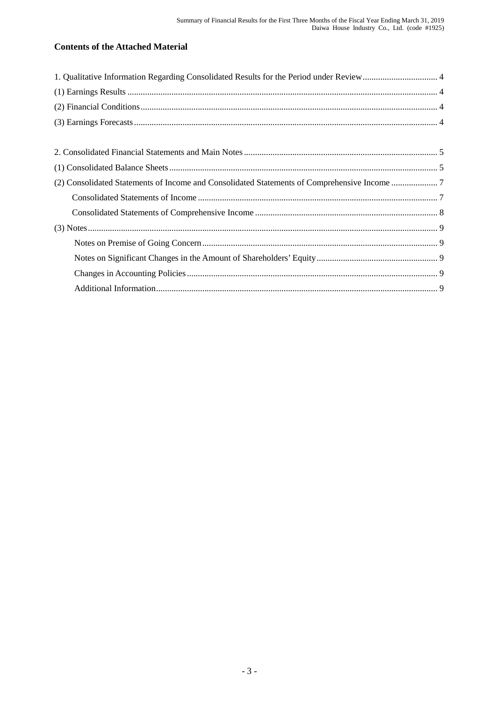# **Contents of the Attached Material**

| (2) Consolidated Statements of Income and Consolidated Statements of Comprehensive Income 7 |  |
|---------------------------------------------------------------------------------------------|--|
|                                                                                             |  |
|                                                                                             |  |
|                                                                                             |  |
|                                                                                             |  |
|                                                                                             |  |
|                                                                                             |  |
|                                                                                             |  |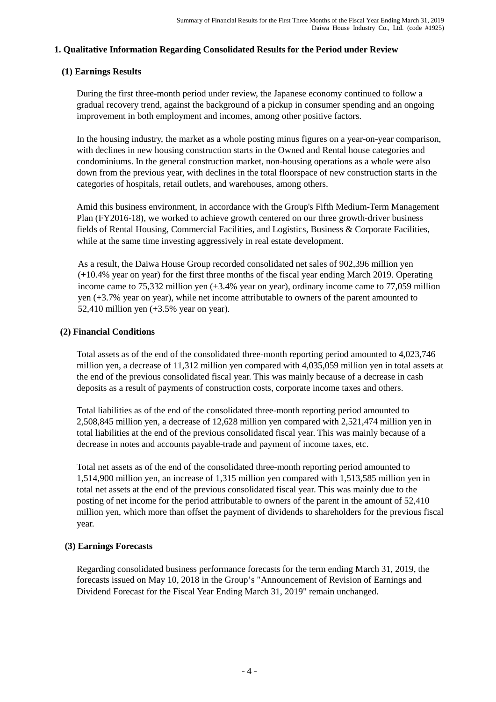# **1. Qualitative Information Regarding Consolidated Results for the Period under Review**

# **(1) Earnings Results**

During the first three-month period under review, the Japanese economy continued to follow a gradual recovery trend, against the background of a pickup in consumer spending and an ongoing improvement in both employment and incomes, among other positive factors.

In the housing industry, the market as a whole posting minus figures on a year-on-year comparison, with declines in new housing construction starts in the Owned and Rental house categories and condominiums. In the general construction market, non-housing operations as a whole were also down from the previous year, with declines in the total floorspace of new construction starts in the categories of hospitals, retail outlets, and warehouses, among others.

Amid this business environment, in accordance with the Group's Fifth Medium-Term Management Plan (FY2016-18), we worked to achieve growth centered on our three growth-driver business fields of Rental Housing, Commercial Facilities, and Logistics, Business & Corporate Facilities, while at the same time investing aggressively in real estate development.

As a result, the Daiwa House Group recorded consolidated net sales of 902,396 million yen (+10.4% year on year) for the first three months of the fiscal year ending March 2019. Operating income came to 75,332 million yen (+3.4% year on year), ordinary income came to 77,059 million yen (+3.7% year on year), while net income attributable to owners of the parent amounted to 52,410 million yen (+3.5% year on year).

# **(2) Financial Conditions**

Total assets as of the end of the consolidated three-month reporting period amounted to 4,023,746 million yen, a decrease of 11,312 million yen compared with 4,035,059 million yen in total assets at the end of the previous consolidated fiscal year. This was mainly because of a decrease in cash deposits as a result of payments of construction costs, corporate income taxes and others.

Total liabilities as of the end of the consolidated three-month reporting period amounted to 2,508,845 million yen, a decrease of 12,628 million yen compared with 2,521,474 million yen in total liabilities at the end of the previous consolidated fiscal year. This was mainly because of a decrease in notes and accounts payable-trade and payment of income taxes, etc.

Total net assets as of the end of the consolidated three-month reporting period amounted to 1,514,900 million yen, an increase of 1,315 million yen compared with 1,513,585 million yen in total net assets at the end of the previous consolidated fiscal year. This was mainly due to the posting of net income for the period attributable to owners of the parent in the amount of 52,410 million yen, which more than offset the payment of dividends to shareholders for the previous fiscal year.

# **(3) Earnings Forecasts**

Regarding consolidated business performance forecasts for the term ending March 31, 2019, the forecasts issued on May 10, 2018 in the Group's "Announcement of Revision of Earnings and Dividend Forecast for the Fiscal Year Ending March 31, 2019" remain unchanged.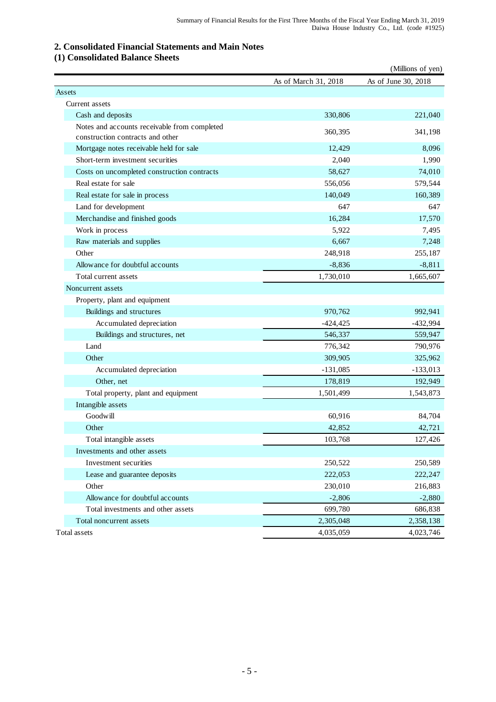# **2. Consolidated Financial Statements and Main Notes**

# **(1) Consolidated Balance Sheets**

|                                                                                  |                      | (Millions of yen)   |
|----------------------------------------------------------------------------------|----------------------|---------------------|
|                                                                                  | As of March 31, 2018 | As of June 30, 2018 |
| Assets                                                                           |                      |                     |
| Current assets                                                                   |                      |                     |
| Cash and deposits                                                                | 330,806              | 221,040             |
| Notes and accounts receivable from completed<br>construction contracts and other | 360,395              | 341,198             |
| Mortgage notes receivable held for sale                                          | 12,429               | 8,096               |
| Short-term investment securities                                                 | 2,040                | 1,990               |
| Costs on uncompleted construction contracts                                      | 58,627               | 74,010              |
| Real estate for sale                                                             | 556,056              | 579,544             |
| Real estate for sale in process                                                  | 140,049              | 160,389             |
| Land for development                                                             | 647                  | 647                 |
| Merchandise and finished goods                                                   | 16,284               | 17,570              |
| Work in process                                                                  | 5,922                | 7,495               |
| Raw materials and supplies                                                       | 6.667                | 7,248               |
| Other                                                                            | 248,918              | 255,187             |
| Allowance for doubtful accounts                                                  | $-8,836$             | $-8,811$            |
| Total current assets                                                             | 1,730,010            | 1,665,607           |
| Noncurrent assets                                                                |                      |                     |
| Property, plant and equipment                                                    |                      |                     |
| Buildings and structures                                                         | 970,762              | 992,941             |
| Accumulated depreciation                                                         | $-424,425$           | $-432,994$          |
| Buildings and structures, net                                                    | 546,337              | 559,947             |
| Land                                                                             | 776,342              | 790,976             |
| Other                                                                            | 309,905              | 325,962             |
| Accumulated depreciation                                                         | $-131,085$           | $-133,013$          |
| Other, net                                                                       | 178,819              | 192,949             |
| Total property, plant and equipment                                              | 1,501,499            | 1,543,873           |
| Intangible assets                                                                |                      |                     |
| Goodwill                                                                         | 60,916               | 84,704              |
| Other                                                                            | 42,852               | 42,721              |
| Total intangible assets                                                          | 103,768              | 127,426             |
| Investments and other assets                                                     |                      |                     |
| Investment securities                                                            | 250,522              | 250,589             |
| Lease and guarantee deposits                                                     | 222,053              | 222,247             |
| Other                                                                            | 230,010              | 216,883             |
| Allowance for doubtful accounts                                                  | $-2,806$             | $-2,880$            |
| Total investments and other assets                                               | 699,780              | 686,838             |
| Total noncurrent assets                                                          | 2,305,048            | 2,358,138           |
| Total assets                                                                     | 4,035,059            | 4,023,746           |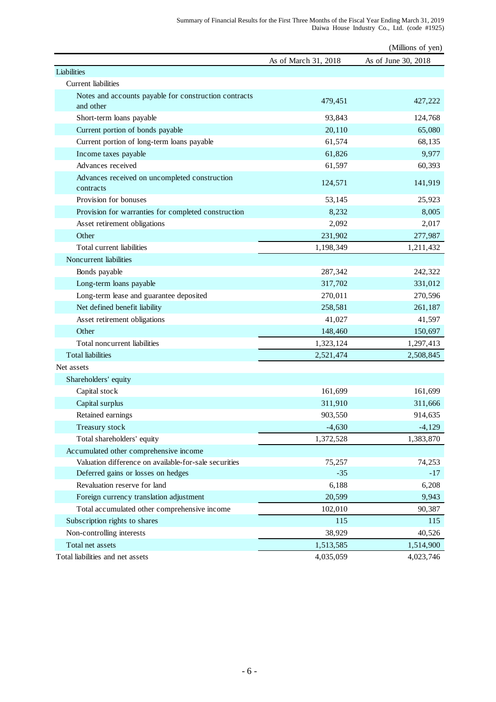|                                                                    |                      | (Millions of yen)   |
|--------------------------------------------------------------------|----------------------|---------------------|
|                                                                    | As of March 31, 2018 | As of June 30, 2018 |
| Liabilities                                                        |                      |                     |
| Current liabilities                                                |                      |                     |
| Notes and accounts payable for construction contracts<br>and other | 479,451              | 427,222             |
| Short-term loans payable                                           | 93,843               | 124,768             |
| Current portion of bonds payable                                   | 20,110               | 65,080              |
| Current portion of long-term loans payable                         | 61,574               | 68,135              |
| Income taxes payable                                               | 61,826               | 9,977               |
| Advances received                                                  | 61,597               | 60,393              |
| Advances received on uncompleted construction<br>contracts         | 124,571              | 141,919             |
| Provision for bonuses                                              | 53,145               | 25,923              |
| Provision for warranties for completed construction                | 8,232                | 8,005               |
| Asset retirement obligations                                       | 2,092                | 2,017               |
| Other                                                              | 231,902              | 277,987             |
| Total current liabilities                                          | 1,198,349            | 1,211,432           |
| Noncurrent liabilities                                             |                      |                     |
| Bonds payable                                                      | 287,342              | 242,322             |
| Long-term loans payable                                            | 317,702              | 331,012             |
| Long-term lease and guarantee deposited                            | 270,011              | 270,596             |
| Net defined benefit liability                                      | 258,581              | 261,187             |
| Asset retirement obligations                                       | 41,027               | 41,597              |
| Other                                                              | 148,460              | 150,697             |
| Total noncurrent liabilities                                       | 1,323,124            | 1,297,413           |
| <b>Total liabilities</b>                                           | 2,521,474            | 2,508,845           |
| Net assets                                                         |                      |                     |
| Shareholders' equity                                               |                      |                     |
| Capital stock                                                      | 161,699              | 161,699             |
| Capital surplus                                                    | 311,910              | 311,666             |
| Retained earnings                                                  | 903,550              | 914,635             |
| Treasury stock                                                     | $-4,630$             | $-4,129$            |
| Total shareholders' equity                                         | 1,372,528            | 1,383,870           |
| Accumulated other comprehensive income                             |                      |                     |
| Valuation difference on available-for-sale securities              | 75,257               | 74,253              |
| Deferred gains or losses on hedges                                 | $-35$                | $-17$               |
| Revaluation reserve for land                                       | 6,188                | 6,208               |
| Foreign currency translation adjustment                            | 20,599               | 9,943               |
| Total accumulated other comprehensive income                       | 102,010              | 90,387              |
| Subscription rights to shares                                      | 115                  | 115                 |
| Non-controlling interests                                          | 38,929               | 40,526              |
| Total net assets                                                   | 1,513,585            | 1,514,900           |
| Total liabilities and net assets                                   | 4,035,059            | 4,023,746           |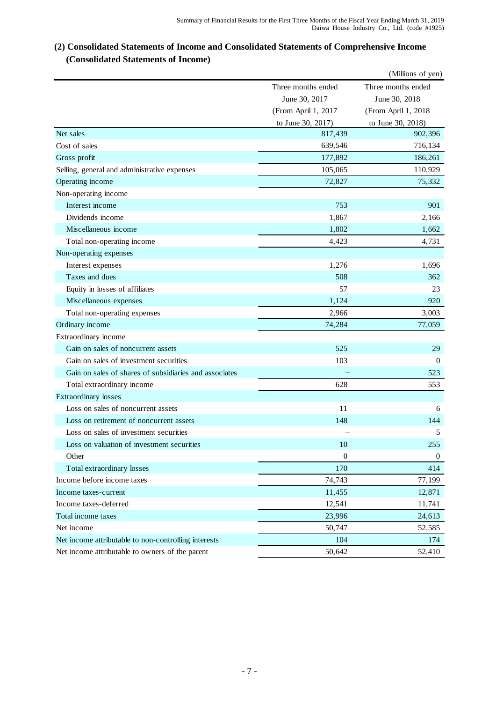# **(2) Consolidated Statements of Income and Consolidated Statements of Comprehensive Income (Consolidated Statements of Income)**

|                                                        |                     | (Millions of yen)   |
|--------------------------------------------------------|---------------------|---------------------|
|                                                        | Three months ended  | Three months ended  |
|                                                        | June 30, 2017       | June 30, 2018       |
|                                                        | (From April 1, 2017 | (From April 1, 2018 |
|                                                        | to June 30, 2017)   | to June 30, 2018)   |
| Net sales                                              | 817,439             | 902,396             |
| Cost of sales                                          | 639,546             | 716,134             |
| Gross profit                                           | 177,892             | 186,261             |
| Selling, general and administrative expenses           | 105,065             | 110,929             |
| Operating income                                       | 72,827              | 75,332              |
| Non-operating income                                   |                     |                     |
| Interest income                                        | 753                 | 901                 |
| Dividends income                                       | 1,867               | 2,166               |
| Miscellaneous income                                   | 1,802               | 1,662               |
| Total non-operating income                             | 4,423               | 4,731               |
| Non-operating expenses                                 |                     |                     |
| Interest expenses                                      | 1,276               | 1,696               |
| Taxes and dues                                         | 508                 | 362                 |
| Equity in losses of affiliates                         | 57                  | 23                  |
| Miscellaneous expenses                                 | 1,124               | 920                 |
| Total non-operating expenses                           | 2,966               | 3,003               |
| Ordinary income                                        | 74,284              | 77,059              |
| Extraordinary income                                   |                     |                     |
| Gain on sales of noncurrent assets                     | 525                 | 29                  |
| Gain on sales of investment securities                 | 103                 | $\theta$            |
| Gain on sales of shares of subsidiaries and associates |                     | 523                 |
| Total extraordinary income                             | 628                 | 553                 |
| Extraordinary losses                                   |                     |                     |
| Loss on sales of noncurrent assets                     | 11                  | 6                   |
| Loss on retirement of noncurrent assets                | 148                 | 144                 |
| Loss on sales of investment securities                 |                     | 5                   |
| Loss on valuation of investment securities             | 10                  | 255                 |
| Other                                                  | $\boldsymbol{0}$    | $\overline{0}$      |
| Total extraordinary losses                             | 170                 | 414                 |
| Income before income taxes                             | 74,743              | 77,199              |
| Income taxes-current                                   | 11,455              | 12,871              |
| Income taxes-deferred                                  | 12,541              | 11,741              |
| Total income taxes                                     | 23,996              | 24,613              |
| Net income                                             | 50,747              | 52,585              |
| Net income attributable to non-controlling interests   | 104                 | 174                 |
| Net income attributable to owners of the parent        | 50,642              | 52,410              |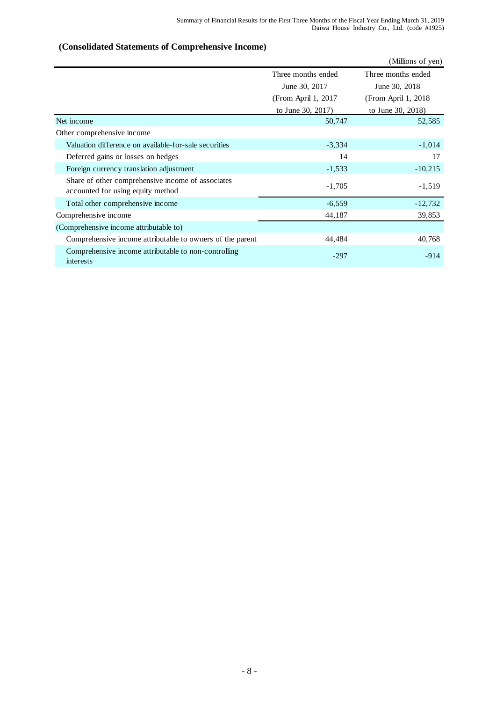#### (Millions of yen) Three months ended Three months ended June 30, 2017 June 30, 2018 (From April 1, 2017 (From April 1, 2018 to June 30, 2017) to June 30, 2018) 50,747 52,585 Valuation difference on available-for-sale securities -3,334 -1,014 Deferred gains or losses on hedges 14 17 Foreign currency translation adjustment  $-1,533$   $-10,215$ -1,705 -1,519 Total other comprehensive income  $-6,559$  -12,732 Comprehensive income 39,853 (Comprehensive income attributable to) 44,484 40,768 -297 -914 Net income Other comprehensive income Share of other comprehensive income of associates accounted for using equity method Comprehensive income attributable to owners of the parent Comprehensive income attributable to non-controlling interests

### **(Consolidated Statements of Comprehensive Income)**